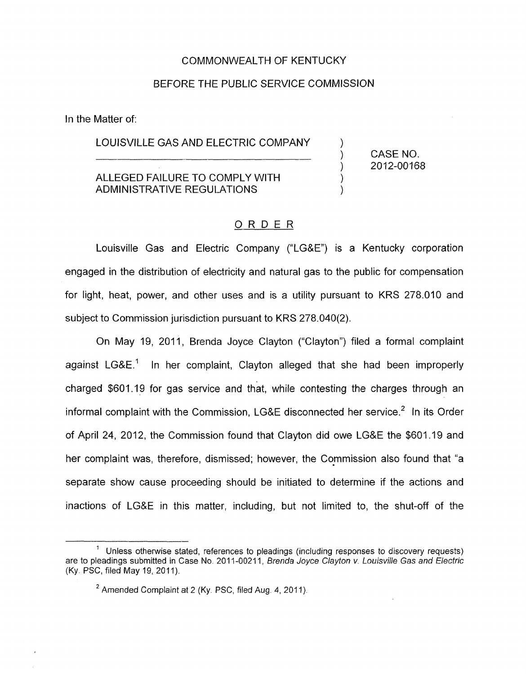### COMMONWEALTH OF KENTUCKY

#### BEFORE THE PUBLIC SERVICE COMMISSION

In the Matter of:

# LOUISVILLE GAS AND ELECTRIC COMPANY Matter of:<br>
LOUISVILLE GAS AND ELECTRIC COMPANY (CASE NO.<br>
(2012-0016)

ALLEGED FAILURE TO COMPLY WITH AD MINISTRATIVE REGULATIONS

2012-00168

) 1 ) 1 )

## ORDER

Louisville Gas and Electric Company ("LG&E") is a Kentucky corporation engaged in the distribution of electricity and natural gas to the public for compensation for light, heat, power, and other uses and is a utility pursuant to KRS 278.010 and subject to Commission jurisdiction pursuant to KRS 278.040(2).

On May 19, 2011, Brenda Joyce Clayton ("Clayton") filed a formal complaint against LG&E.' In her complaint, Clayton alleged that she had been improperly charged \$601.19 for gas service and that, while contesting the charges through an informal complaint with the Commission, LG&E disconnected her service.<sup>2</sup> In its Order of April 24, 2012, the Commission found that Clayton did owe LG&E the \$601.19 and her complaint was, therefore, dismissed; however, the Commission also found that "a separate show cause proceeding should be initiated to determine if the actions and inactions of LG&E in this matter, including, but not limited to, the shut-off of the

<sup>&</sup>lt;sup>1</sup> Unless otherwise stated, references to pleadings (including responses to discovery requests) are to pleadings submitted in Case No. 2011-00211, *Brenda Joyce Clayton v. Louisville Gas and Electric* (Ky. PSC, filed May 19, 2011).

<sup>&</sup>lt;sup>2</sup> Amended Complaint at 2 (Ky. PSC, filed Aug. 4, 2011).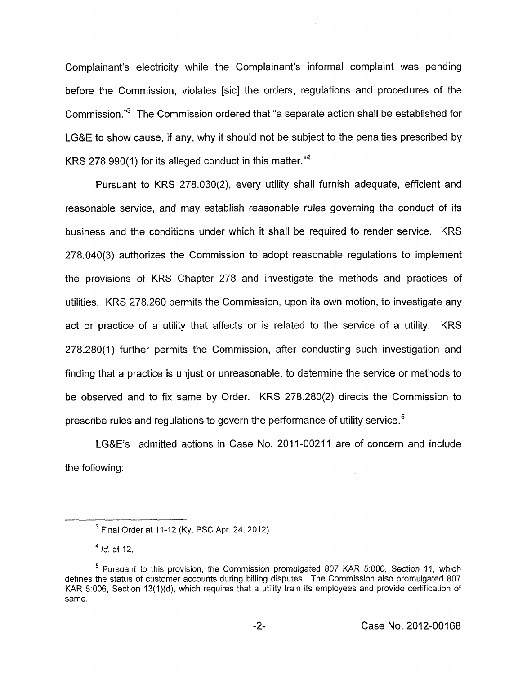Complainant's electricity while the Complainant's informal complaint was pending before the Commission, violates [sic] the orders, regulations and procedures of the Commission."<sup>3</sup> The Commission ordered that "a separate action shall be established for LG&E to show cause, if any, why it should not be subject to the penalties prescribed by KRS 278.990(1) for its alleged conduct in this matter."4

Pursuant to KRS 278.030(2), every utility shall furnish adequate, efficient and reasonable service, and may establish reasonable rules governing the conduct of its business and the conditions under which it shall be required to render service. KRS 278.040(3) authorizes the Commission to adopt reasonable regulations to implement the provisions of KRS Chapter 278 and investigate the methods and practices of utilities. KRS 278.260 permits the Commission, upon its own motion, to investigate any act or practice of a utility that affects or is related to the service of a utility. KRS 278.280(1) further permits the Commission, after conducting such investigation and finding that a practice is unjust or unreasonable, to determine the service or methods to be observed and to fix same by Order. KRS 278.280(2) directs the Commission to prescribe rules and regulations to govern the performance of utility service. $5$ 

LG&E's admitted actions in Case No. 2011-00211 are of concern and include the following:

Final Order at 11-12 (Ky. **PSC** Apr. 24, 2012).

 $^{4}$  *Id.* at 12.

 $<sup>5</sup>$  Pursuant to this provision, the Commission promulgated 807 KAR 5:006, Section 11, which</sup> defines the status of customer accounts during billing disputes. The Commission also promulgated 807 KAR 5:006, Section 13(1)(d), which requires that a utility train its employees and provide certification of same.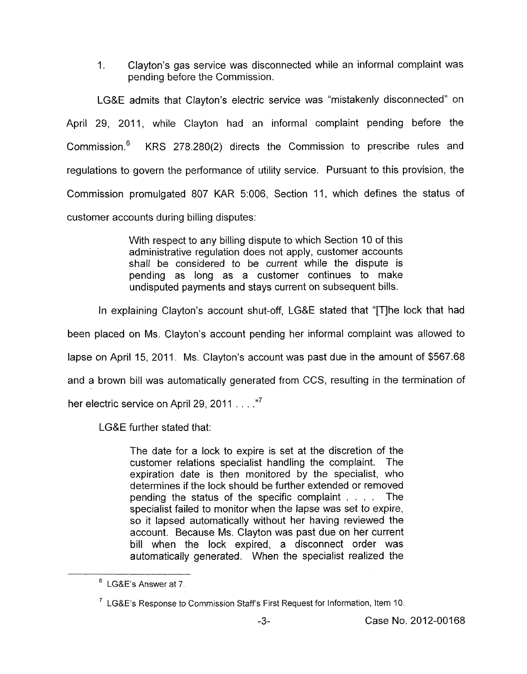1. Clayton's gas service was disconnected while an informal complaint was pending before the Commission.

LG&E admits that Clayton's electric service was "mistakenly disconnected" on April 29, 2011, while Clayton had an informal complaint pending before the Commission.' KRS 278.280(2) directs the Commission to prescribe rules and regulations to govern the performance of utility service. Pursuant to this provision, the Commission promulgated 807 KAR 5:006, Section 11, which defines the status of customer accounts during billing disputes:

> With respect to any billing dispute to which Section 10 of this administrative regulation does not apply, customer accounts shall be considered to be current while the dispute is pending as long as a customer continues to make undisputed payments and stays current on subsequent bills.

In explaining Clayton's account shut-off, LG&E stated that "[TJhe lock that had

been placed on Ms. Clayton's account pending her informal complaint was allowed to lapse on April 15, 2011. Ms. Clayton's account was past due in the amount of \$567.68

and a brown bill was automatically generated from CCS, resulting in the termination of

her electric service on April 29, 2011  $\dots$ ."<sup>7</sup>

LG&E further stated that:

The date for a lock to expire is set at the discretion of the customer relations specialist handling the complaint. The expiration date is then monitored by the specialist, who determines if the lock should be further extended or removed pending the status of the specific complaint . . . . The specialist failed to monitor when the lapse was set to expire, so it lapsed automatically without her having reviewed the account. Because Ms. Clayton was past due on her current bill when the lock expired, a disconnect order was automatically generated. When the specialist realized the

LG&E's Answer at 7.

 $^7$  LG&E's Response to Commission Staff's First Request for Information, Item 10.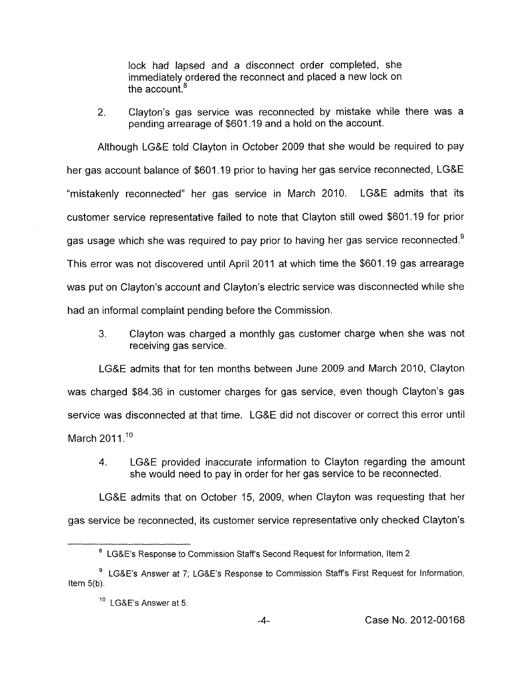lock had lapsed and a disconnect order completed, she immediately ordered the reconnect and placed a new lock on the account.<sup>8</sup>

2. Clayton's gas service was reconnected by mistake while there was a pending arrearage of \$601 .I9 and a hold on the account.

Although LG&E told Clayton in October 2009 that she would be required to pay her gas account balance of \$601.19 prior to having her gas service reconnected, LG&E "mistakenly reconnected" her gas service in March 2010. LG&E admits that its customer service representative failed to note that Clayton still owed \$601 .I9 for prior gas usage which she was required to pay prior to having her gas service reconnected.<sup>9</sup> This error was not discovered until April 2011 at which time the \$601.19 gas arrearage was put on Clayton's account and Clayton's electric service was disconnected while she had an informal complaint pending before the Commission.

3. Clayton was charged a monthly gas customer charge when she was not receiving gas service.

LG&E admits that for ten months between June 2009 and March 2010, Clayton was charged \$84.36 in customer charges for gas service, even though Clayton's gas service was disconnected at that time. LG&E did not discover or correct this error until March  $2011$ .<sup>10</sup>

4. LG&E provided inaccurate information to Clayton regarding the amount she would need to pay in order for her gas service to be reconnected.

LG&E admits that on October 15, 2009, when Clayton was requesting that her gas service be reconnected, its customer service representative only checked Clayton's

LG&E's Response to Commission Staff's Second Request for Information, Item 2 *8* 

<sup>&</sup>lt;sup>9</sup> LG&E's Answer at 7; LG&E's Response to Commission Staff's First Request for Information, Item 5(b).

<sup>&</sup>lt;sup>10</sup> LG&E's Answer at 5.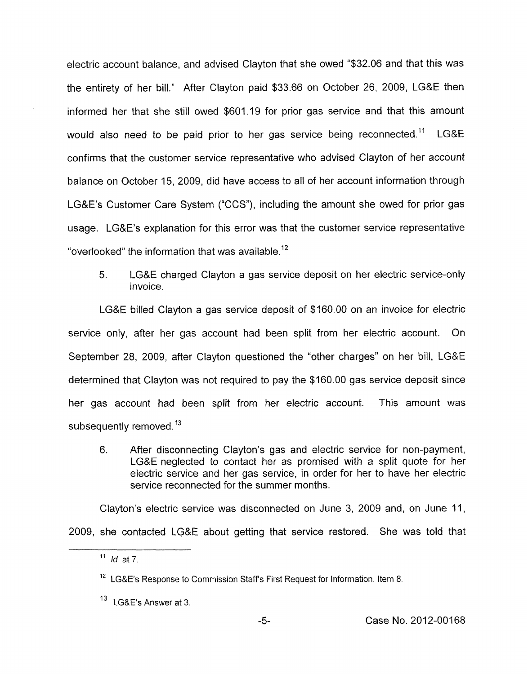electric account balance, and advised Clayton that she owed "\$32.06 and that this was the entirety of her bill." After Clayton paid \$33.66 on October 26, 2009, LG&E then informed her that she still owed \$601.19 for prior gas service and that this amount would also need to be paid prior to her gas service being reconnected.<sup>11</sup> LG&E confirms that the customer service representative who advised Clayton of her account balance on October 15, 2009, did have access to all of her account information through LG&E's Customer Care System ("CCS"), including the amount she owed for prior gas usage. LG&E's explanation for this error was that the customer service representative "overlooked" the information that was available. $^{12}$ 

5. LG&E charged Clayton a gas service deposit on her electric service-only invoice.

LG&E billed Clayton a gas service deposit of \$160.00 on an invoice for electric service only, after her gas account had been split from her electric account. On September 28, 2009, after Clayton questioned the "other charges" on her bill, LG&E determined that Clayton was not required to pay the \$160.00 gas service deposit since her gas account had been split from her electric account. This amount was subsequently removed.<sup>13</sup>

6. After disconnecting Clayton's gas and electric service for non-payment, LG&E neglected to contact her as promised with a split quote for her electric service and her gas service, in order for her to have her electric service reconnected for the summer months.

Clayton's electric service was disconnected on June 3, 2009 and, on June 11, 2009, she contacted LG&E about getting that service restored. She was told that

<sup>&</sup>lt;sup>11</sup> *Id.* at 7.

<sup>&</sup>lt;sup>12</sup> LG&E's Response to Commission Staff's First Request for Information, Item 8.

<sup>13</sup> LG&E's Answer at 3.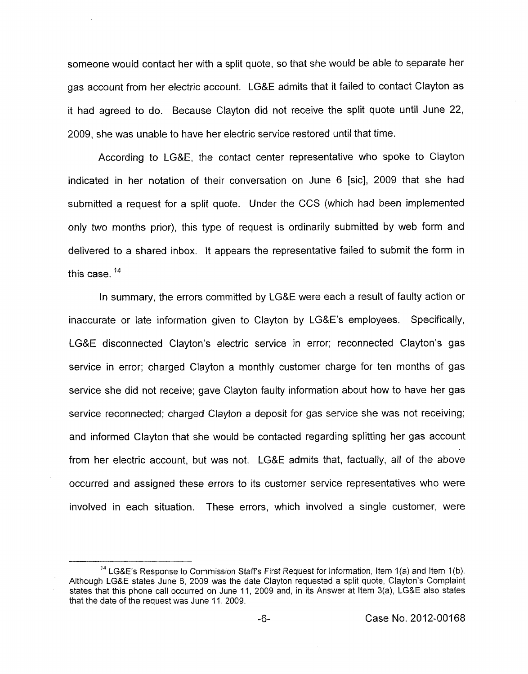someone would contact her with a split quote, so that she would be able to separate her gas account from her electric account. LG&E admits that it failed to contact Clayton as it had agreed to do. Because Clayton did not receive the split quote until June 22, 2009, she was unable to have her electric service restored until that time.

According to LG&E, the contact center representative who spoke to Clayton indicated in her notation of their conversation on June 6 [sic], 2009 that she had submitted a request for a split quote. Under the CCS (which had been implemented only two months prior), this type of request is ordinarily submitted by web form and delivered to a shared inbox. It appears the representative failed to submit the form in this case. **<sup>14</sup>**

In summary, the errors committed by LG&E were each a result of faulty action or inaccurate or late information given to Clayton by LG&E's employees. Specifically, LG&E disconnected Clayton's electric service in error; reconnected Clayton's gas service in error; charged Clayton a monthly customer charge for ten months of gas service she did not receive; gave Clayton faulty information about how to have her gas service reconnected; charged Clayton a deposit for gas service she was not receiving; and informed Clayton that she would be contacted regarding splitting her gas account from her electric account, but was not. LG&E admits that, factually, all of the above occurred and assigned these errors to its customer service representatives who were involved in each situation. These errors, which involved a single customer, were

<sup>&</sup>lt;sup>14</sup> LG&E's Response to Commission Staff's First Request for Information, Item 1(a) and Item 1(b). Although **LG&E** states June 6, 2009 was the date Clayton requested a split quote, Clayton's Complaint states that this phone call occurred on June 11, 2009 and, in its Answer at Item 3(a), LG&E also states that the date of the request was June 11, 2009.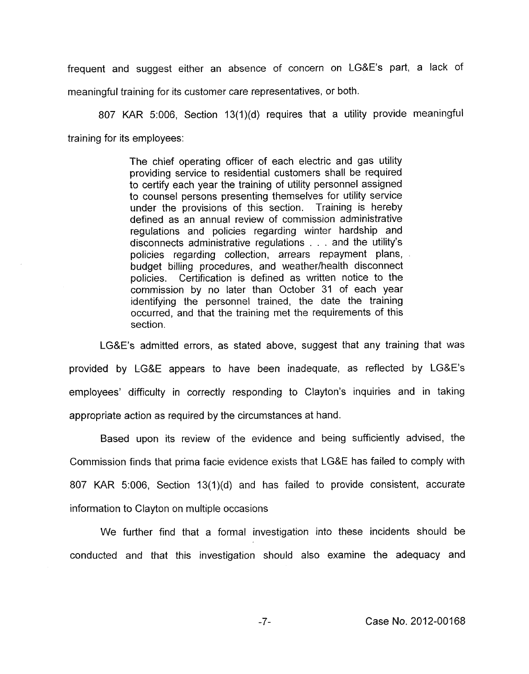frequent and suggest either an absence of concern on LG&E's part, a lack of meaningful training for its customer care representatives, or both.

807 KAR 5:006, Section 13(1)(d) requires that a utility provide meaningful training for its employees:

> The chief operating officer of each electric and gas utility providing service to residential customers shall be required to certify each year the training of utility personnel assigned to counsel persons presenting themselves for utility service under the provisions of this section. Training is hereby defined as an annual review of commission administrative regulations and policies regarding winter hardship and disconnects administrative regulations . . . and the utility's policies regarding collection, arrears repayment plans, budget billing procedures, and weather/health disconnect policies. Certification is defined as written notice to the commission by no later than October 31 of each year identifying the personnel trained, the date the training occurred, and that the training met the requirements of this section.

LG&E's admitted errors, as stated above, suggest that any training that was provided by LG&E appears to have been inadequate, as reflected by LG&E's employees' difficulty in correctly responding to Clayton's inquiries and in taking appropriate action as required by the circumstances at hand.

Based upon its review of the evidence and being sufficiently advised, the Commission finds that prima facie evidence exists that LG&E has failed to comply with 807 KAR 5:006, Section 13(1)(d) and has failed to provide consistent, accurate information to Clayton on multiple occasions

We further find that a formal investigation into these incidents should be conducted and that this investigation should also examine the adequacy and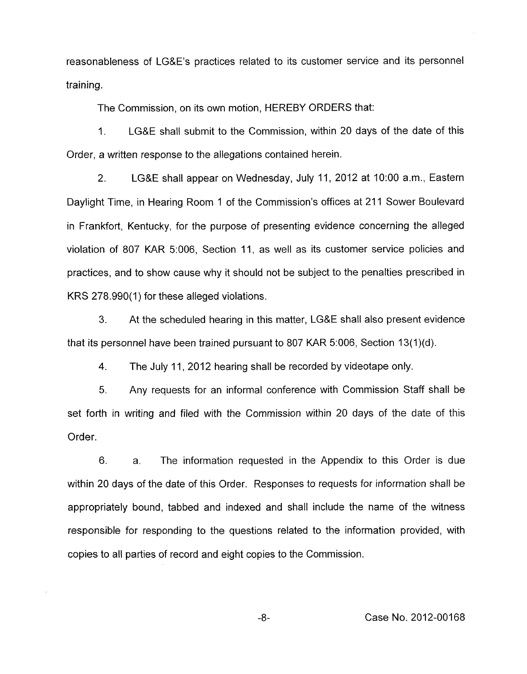reasonableness of LG&E's practices related to its customer service and its personnel training.

The Commission, on its own motion, HEREBY ORDERS that:

1. LG&E shall submit to the Commission, within 20 days of the date of this Order, a written response to the allegations contained herein.

2. LG&E shall appear on Wednesday, July 11, 2012 at 1O:OO a.m., Eastern Daylight Time, in Hearing Room 1 of the Commission's offices at 211 Sower Boulevard in Frankfort, Kentucky, for the purpose of presenting evidence concerning the alleged violation of 807 KAR 5:006, Section 11, as well as its customer service policies and practices, and to show cause why it should not be subject to the penalties prescribed in KRS 278.990(1) for these alleged violations.

**3.** At the scheduled hearing in this matter, LG&E shall also present evidence that its personnel have been trained pursuant to 807 KAR 5:006, Section  $13(1)(d)$ .

4. The July 11 , 2012 hearing shall be recorded by videotape only.

5. Any requests for an informal conference with Commission Staff shall be set forth in writing and filed with the Commission within 20 days of the date of this Order.

6. a. The information requested in the Appendix to this Order is due within 20 days of the date of this Order. Responses to requests for information shall be appropriately bound, tabbed and indexed and shall include the name of the witness responsible for responding to the questions related to the information provided, with copies to all parties of record and eight copies to the Commission.

-8- Case No. 2012-00168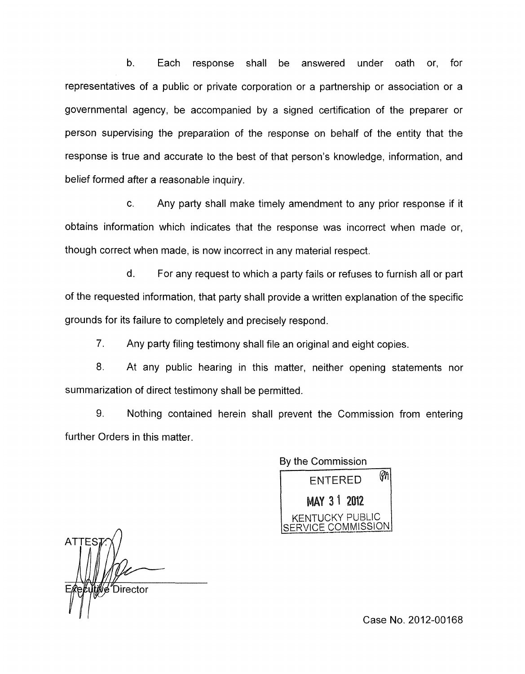b. Each response shall be answered under oath or, for representatives of a public or private corporation or a partnership or association or a governmental agency, be accompanied by a signed certification of the preparer or person supervising the preparation of the response on behalf of the entity that the response is true and accurate to the best of that person's knowledge, information, and belief formed after a reasonable inquiry.

c. Any party shall make timely amendment to any prior response if it obtains information which indicates that the response was incorrect when made or, though correct when made, is now incorrect in any material respect.

d. For any request to which a party fails or refuses to furnish all or part of the requested information, that party shall provide a written explanation of the specific grounds for its failure to completely and precisely respond.

7. Any party filing testimony shall file an original and eight copies.

8. At any public hearing in this matter, neither opening statements nor summarization of direct testimony shall be permitted.

9. Nothing contained herein shall prevent the Commission from entering further Orders in this matter.

Bv the Commission M **ENTERED** MAY 3 1 2012 KENTUCKY PUBLIC RVICE COMMISSION

**ATTE Director** 

Case No. 2012-00168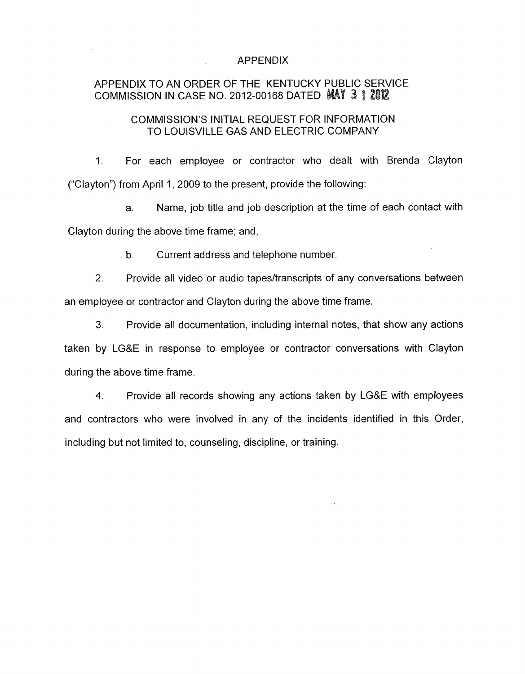#### APPENDIX

## APPENDIX TO AN ORDER OF THE KENTUCKY PUBLIC SERVICE COMMISSION IN CASE NO. 2012-00168 DATED MAY 3 1 2012

## COMMISSION'S INITIAL REQUEST FOR INFORMATION TO LOUISVILLE GAS AND ELECTRIC COMPANY

1. For each employee or contractor who dealt with Brenda Clayton ("Clayton") from April 1 , 2009 to the present, provide the following:

a. Name, job title and job description at the time of each contact with Clayton during the above time frame; and,

b. Current address and telephone number.

2. Provide all video or audio tapes/transcripts of any conversations between an employee or contractor and Clayton during the above time frame.

**3.** Provide all documentation, including internal notes, that show any actions taken by LG&E in response to employee or contractor conversations with Clayton during the above time frame.

**4.** Provide all records showing any actions taken by LG&E with employees and contractors who were involved in any of the incidents identified in this Order, including but not limited to, counseling, discipline, or training.